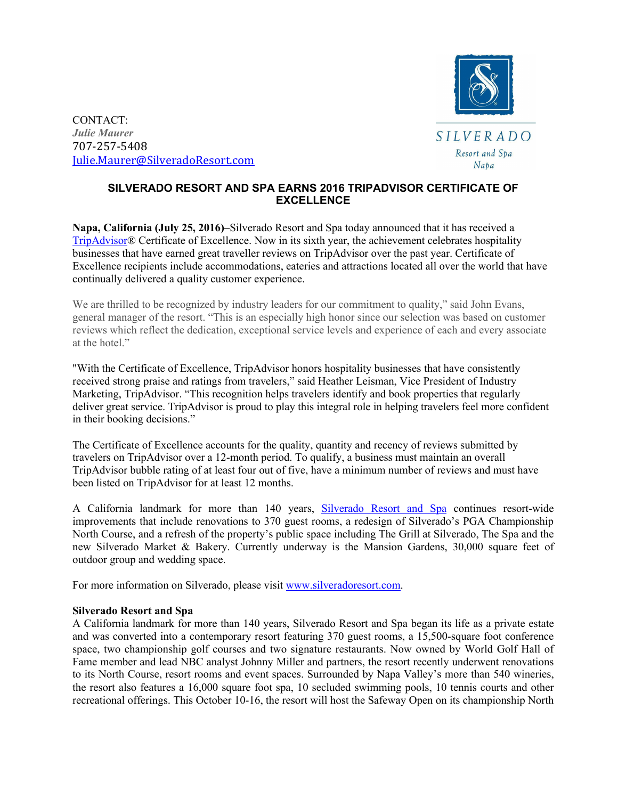

CONTACT: *Julie Maurer* 707-257-5408 Julie.Maurer@SilveradoResort.com

## **SILVERADO RESORT AND SPA EARNS 2016 TRIPADVISOR CERTIFICATE OF EXCELLENCE**

**Napa, California (July 25, 2016)–**Silverado Resort and Spa today announced that it has received a TripAdvisor® Certificate of Excellence. Now in its sixth year, the achievement celebrates hospitality businesses that have earned great traveller reviews on TripAdvisor over the past year. Certificate of Excellence recipients include accommodations, eateries and attractions located all over the world that have continually delivered a quality customer experience.

We are thrilled to be recognized by industry leaders for our commitment to quality," said John Evans, general manager of the resort. "This is an especially high honor since our selection was based on customer reviews which reflect the dedication, exceptional service levels and experience of each and every associate at the hotel."

"With the Certificate of Excellence, TripAdvisor honors hospitality businesses that have consistently received strong praise and ratings from travelers," said Heather Leisman, Vice President of Industry Marketing, TripAdvisor. "This recognition helps travelers identify and book properties that regularly deliver great service. TripAdvisor is proud to play this integral role in helping travelers feel more confident in their booking decisions."

The Certificate of Excellence accounts for the quality, quantity and recency of reviews submitted by travelers on TripAdvisor over a 12-month period. To qualify, a business must maintain an overall TripAdvisor bubble rating of at least four out of five, have a minimum number of reviews and must have been listed on TripAdvisor for at least 12 months.

A California landmark for more than 140 years, Silverado Resort and Spa continues resort-wide improvements that include renovations to 370 guest rooms, a redesign of Silverado's PGA Championship North Course, and a refresh of the property's public space including The Grill at Silverado, The Spa and the new Silverado Market & Bakery. Currently underway is the Mansion Gardens, 30,000 square feet of outdoor group and wedding space.

For more information on Silverado, please visit www.silveradoresort.com.

## **Silverado Resort and Spa**

A California landmark for more than 140 years, Silverado Resort and Spa began its life as a private estate and was converted into a contemporary resort featuring 370 guest rooms, a 15,500-square foot conference space, two championship golf courses and two signature restaurants. Now owned by World Golf Hall of Fame member and lead NBC analyst Johnny Miller and partners, the resort recently underwent renovations to its North Course, resort rooms and event spaces. Surrounded by Napa Valley's more than 540 wineries, the resort also features a 16,000 square foot spa, 10 secluded swimming pools, 10 tennis courts and other recreational offerings. This October 10-16, the resort will host the Safeway Open on its championship North